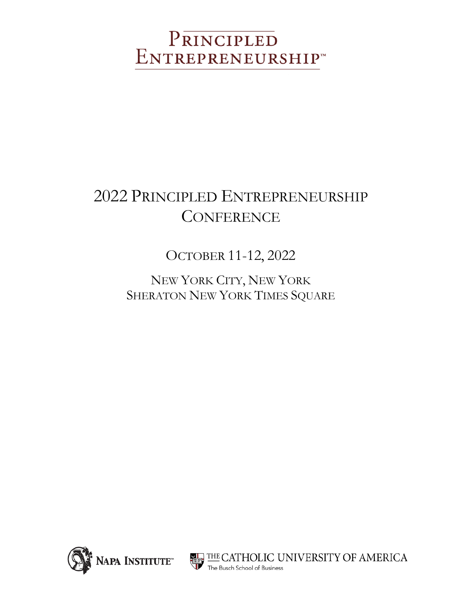# PRINCIPLED<br>ENTREPRENEURSHIP

## 2022 PRINCIPLED ENTREPRENEURSHIP **CONFERENCE**

OCTOBER 11-12, 2022

NEW YORK CITY, NEW YORK SHERATON NEW YORK TIMES SQUARE



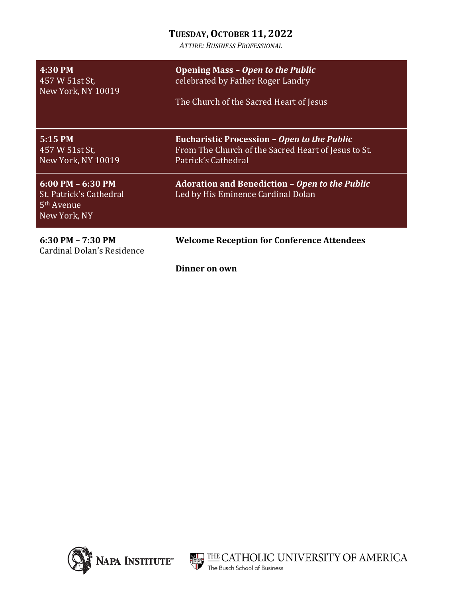#### **TUESDAY,OCTOBER 11, 2022**

*ATTIRE: BUSINESS PROFESSIONAL*

| 4:30 PM<br>457 W 51st St,<br>New York, NY 10019                                           | <b>Opening Mass - Open to the Public</b><br>celebrated by Father Roger Landry<br>The Church of the Sacred Heart of Jesus         |
|-------------------------------------------------------------------------------------------|----------------------------------------------------------------------------------------------------------------------------------|
| 5:15 PM<br>457 W 51st St,<br>New York, NY 10019                                           | <b>Eucharistic Procession - Open to the Public</b><br>From The Church of the Sacred Heart of Jesus to St.<br>Patrick's Cathedral |
| $6:00$ PM $-6:30$ PM<br>St. Patrick's Cathedral<br>5 <sup>th</sup> Avenue<br>New York, NY | <b>Adoration and Benediction - Open to the Public</b><br>Led by His Eminence Cardinal Dolan                                      |
| $6:30$ PM $- 7:30$ PM<br>Cardinal Dolan's Residence                                       | <b>Welcome Reception for Conference Attendees</b>                                                                                |
|                                                                                           | Dinner on own                                                                                                                    |



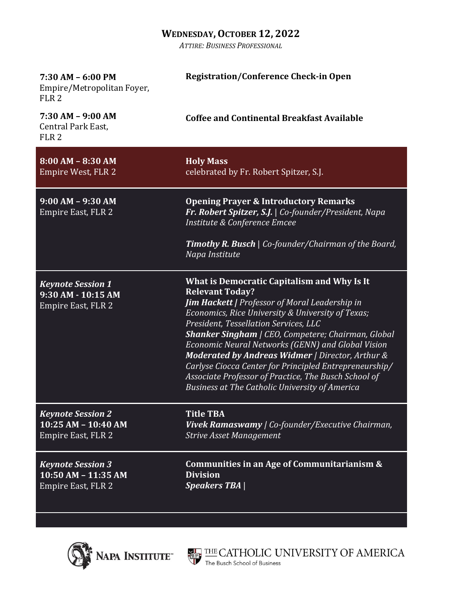#### **WEDNESDAY,OCTOBER 12, 2022**

*ATTIRE: BUSINESS PROFESSIONAL*

| $7:30$ AM $-6:00$ PM<br>Empire/Metropolitan Foyer,<br>FLR <sub>2</sub>    | <b>Registration/Conference Check-in Open</b>                                                                                                                                                                                                                                                                                                                                                                                                                                                                                                                           |
|---------------------------------------------------------------------------|------------------------------------------------------------------------------------------------------------------------------------------------------------------------------------------------------------------------------------------------------------------------------------------------------------------------------------------------------------------------------------------------------------------------------------------------------------------------------------------------------------------------------------------------------------------------|
| $7:30 AM - 9:00 AM$<br>Central Park East,<br>FLR <sub>2</sub>             | <b>Coffee and Continental Breakfast Available</b>                                                                                                                                                                                                                                                                                                                                                                                                                                                                                                                      |
| $8:00 AM - 8:30 AM$<br>Empire West, FLR 2                                 | <b>Holy Mass</b><br>celebrated by Fr. Robert Spitzer, S.J.                                                                                                                                                                                                                                                                                                                                                                                                                                                                                                             |
| $9:00 AM - 9:30 AM$<br>Empire East, FLR 2                                 | <b>Opening Prayer &amp; Introductory Remarks</b><br>Fr. Robert Spitzer, S.J.   Co-founder/President, Napa<br>Institute & Conference Emcee                                                                                                                                                                                                                                                                                                                                                                                                                              |
|                                                                           | <b>Timothy R. Busch</b>   Co-founder/Chairman of the Board,<br>Napa Institute                                                                                                                                                                                                                                                                                                                                                                                                                                                                                          |
| <b>Keynote Session 1</b><br>9:30 AM - 10:15 AM<br>Empire East, FLR 2      | What is Democratic Capitalism and Why Is It<br><b>Relevant Today?</b><br><b>Jim Hackett   Professor of Moral Leadership in</b><br>Economics, Rice University & University of Texas;<br>President, Tessellation Services, LLC<br><b>Shanker Singham</b>   CEO, Competere; Chairman, Global<br>Economic Neural Networks (GENN) and Global Vision<br>Moderated by Andreas Widmer   Director, Arthur &<br>Carlyse Ciocca Center for Principled Entrepreneurship/<br>Associate Professor of Practice, The Busch School of<br>Business at The Catholic University of America |
| <b>Keynote Session 2</b><br>10:25 AM - 10:40 AM<br>Empire East, FLR 2     | <b>Title TBA</b><br>Vivek Ramaswamy   Co-founder/Executive Chairman,<br><b>Strive Asset Management</b>                                                                                                                                                                                                                                                                                                                                                                                                                                                                 |
| <b>Keynote Session 3</b><br>$10:50$ AM $- 11:35$ AM<br>Empire East, FLR 2 | Communities in an Age of Communitarianism &<br><b>Division</b><br><b>Speakers TBA</b>                                                                                                                                                                                                                                                                                                                                                                                                                                                                                  |



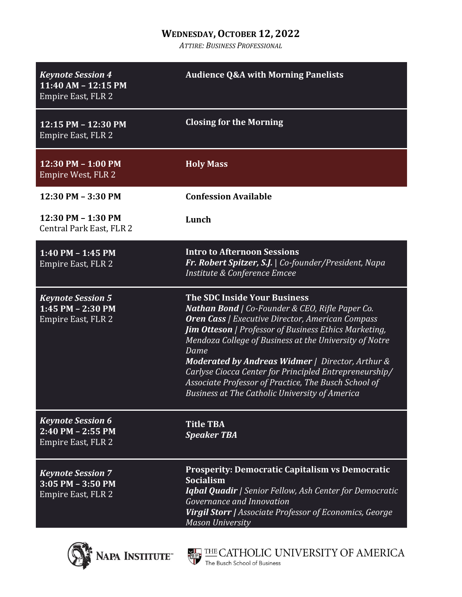### **WEDNESDAY,OCTOBER 12, 2022**

*ATTIRE: BUSINESS PROFESSIONAL*

| <b>Keynote Session 4</b><br>11:40 AM - 12:15 PM<br>Empire East, FLR 2          | <b>Audience Q&amp;A with Morning Panelists</b>                                                                                                                                                                                                                                                                                                                                                                                                                                                                                   |
|--------------------------------------------------------------------------------|----------------------------------------------------------------------------------------------------------------------------------------------------------------------------------------------------------------------------------------------------------------------------------------------------------------------------------------------------------------------------------------------------------------------------------------------------------------------------------------------------------------------------------|
| 12:15 PM - 12:30 PM<br>Empire East, FLR 2                                      | <b>Closing for the Morning</b>                                                                                                                                                                                                                                                                                                                                                                                                                                                                                                   |
| $12:30$ PM $- 1:00$ PM<br><b>Empire West, FLR 2</b>                            | <b>Holy Mass</b>                                                                                                                                                                                                                                                                                                                                                                                                                                                                                                                 |
| 12:30 PM - 3:30 PM                                                             | <b>Confession Available</b>                                                                                                                                                                                                                                                                                                                                                                                                                                                                                                      |
| 12:30 PM - 1:30 PM<br>Central Park East, FLR 2                                 | Lunch                                                                                                                                                                                                                                                                                                                                                                                                                                                                                                                            |
| $1:40$ PM $- 1:45$ PM<br>Empire East, FLR 2                                    | <b>Intro to Afternoon Sessions</b><br>Fr. Robert Spitzer, S.J.   Co-founder/President, Napa<br>Institute & Conference Emcee                                                                                                                                                                                                                                                                                                                                                                                                      |
| <b>Keynote Session 5</b><br>$1:45$ PM $- 2:30$ PM<br>Empire East, FLR 2        | <b>The SDC Inside Your Business</b><br><b>Nathan Bond</b>   Co-Founder & CEO, Rifle Paper Co.<br><b>Oren Cass</b>   Executive Director, American Compass<br><b>Jim Otteson</b> / Professor of Business Ethics Marketing,<br>Mendoza College of Business at the University of Notre<br>Dame<br><b>Moderated by Andreas Widmer</b>   Director, Arthur &<br>Carlyse Ciocca Center for Principled Entrepreneurship/<br>Associate Professor of Practice, The Busch School of<br><b>Business at The Catholic University of America</b> |
| <b>Keynote Session 6</b><br>$2:40$ PM $- 2:55$ PM<br><b>Empire East, FLR 2</b> | <b>Title TBA</b><br><b>Speaker TBA</b>                                                                                                                                                                                                                                                                                                                                                                                                                                                                                           |
| <b>Keynote Session 7</b><br>$3:05$ PM $-3:50$ PM<br><b>Empire East, FLR 2</b>  | <b>Prosperity: Democratic Capitalism vs Democratic</b><br>Socialism<br><b>Igbal Quadir</b>   Senior Fellow, Ash Center for Democratic<br>Governance and Innovation<br>Virgil Storr   Associate Professor of Economics, George<br><b>Mason University</b>                                                                                                                                                                                                                                                                         |



THE CATHOLIC UNIVERSITY OF AMERICA